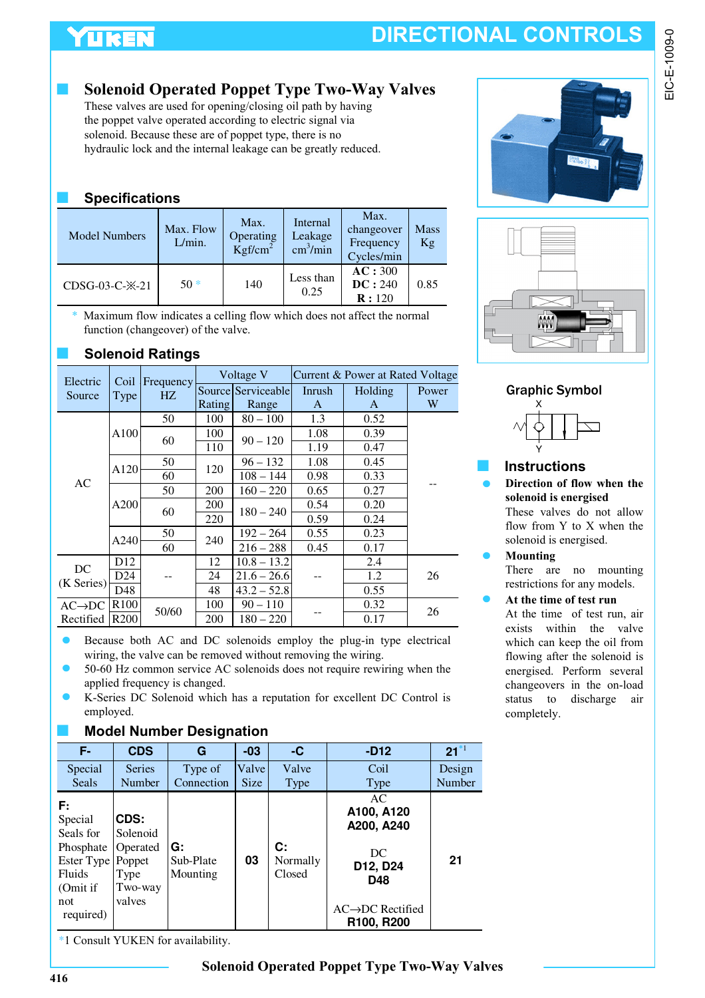# YUKEN

# **DIRECTIONAL CONTROLS**

### **Solenoid Operated Poppet Type Two-Way Valves**

These valves are used for opening/closing oil path by having the poppet valve operated according to electric signal via solenoid. Because these are of poppet type, there is no hydraulic lock and the internal leakage can be greatly reduced.

### ■ **Specifications**

| <b>Model Numbers</b>         | Max. Flow<br>L/min. | Max.<br>Operating<br>Kgf/cm <sup>2</sup> | Internal<br>Leakage<br>$\text{cm}^3/\text{min}$ | Max.<br>changeover<br>Frequency<br>Cycles/min | <b>Mass</b><br>Kg |
|------------------------------|---------------------|------------------------------------------|-------------------------------------------------|-----------------------------------------------|-------------------|
| CDSG-03-C- $\frac{1}{2}$ -21 | $50*$               | 140                                      | Less than<br>0.25                               | AC:300<br>DC: 240<br>R:120                    | 0.85              |

Maximum flow indicates a celling flow which does not affect the normal function (changeover) of the valve.

### ■ **Solenoid Ratings**

| Electric<br>Coil   |                  | Frequency | Voltage V |                    | Current & Power at Rated Voltage |         |       |
|--------------------|------------------|-----------|-----------|--------------------|----------------------------------|---------|-------|
| Source             | Type             | HZ        |           | Source Serviceable | Inrush                           | Holding | Power |
|                    |                  |           | Rating    | Range              | A                                | A       | W     |
|                    |                  | 50        | 100       | $80 - 100$         | 1.3                              | 0.52    |       |
|                    | A100             |           | 100       | $90 - 120$         | 1.08                             | 0.39    |       |
|                    |                  | 60        | 110       |                    | 1.19                             | 0.47    |       |
| AC                 | A120             | 50        | 120       | $96 - 132$         | 1.08                             | 0.45    |       |
|                    |                  | 60        |           | $108 - 144$        | 0.98                             | 0.33    |       |
|                    | A200             | 50        | 200       | $160 - 220$        | 0.65                             | 0.27    |       |
|                    |                  | 60        | 200       | $180 - 240$        | 0.54                             | 0.20    |       |
|                    |                  |           | 220       |                    | 0.59                             | 0.24    |       |
|                    | A240             | 50        | 240       | $192 - 264$        | 0.55                             | 0.23    |       |
|                    |                  | 60        |           | $216 - 288$        | 0.45                             | 0.17    |       |
| DC<br>(K Series)   | D <sub>12</sub>  |           | 12        | $10.8 - 13.2$      |                                  | 2.4     | 26    |
|                    | D <sub>24</sub>  |           | 24        | $21.6 - 26.6$      |                                  | 1.2     |       |
|                    | D48              |           | 48        | $43.2 - 52.8$      |                                  | 0.55    |       |
| $AC\rightarrow DC$ | R <sub>100</sub> | 50/60     | 100       | $90 - 110$         |                                  | 0.32    | 26    |
| Rectified          | R <sub>200</sub> |           | 200       | $180 - 220$        |                                  | 0.17    |       |

- Because both AC and DC solenoids employ the plug-in type electrical wiring, the valve can be removed without removing the wiring.
- 50-60 Hz common service AC solenoids does not require rewiring when the applied frequency is changed.
- K-Series DC Solenoid which has a reputation for excellent DC Control is employed.

#### **Model Number Designation**

| F-                                                                                              | <b>CDS</b>                                                          | G                           | $-03$                | -C                               | $-D12$                                                                                                                | $21^{*1}$        |
|-------------------------------------------------------------------------------------------------|---------------------------------------------------------------------|-----------------------------|----------------------|----------------------------------|-----------------------------------------------------------------------------------------------------------------------|------------------|
| Special<br><b>Seals</b>                                                                         | <b>Series</b><br>Number                                             | Type of<br>Connection       | Valve<br><b>Size</b> | Valve                            | Coil                                                                                                                  | Design<br>Number |
| F:<br>Special<br>Seals for<br>Phosphate<br>Ester Type<br>Fluids<br>(Omit if<br>not<br>required) | CDS:<br>Solenoid<br>Operated<br>Poppet<br>Type<br>Two-way<br>valves | G:<br>Sub-Plate<br>Mounting | 03                   | Type<br>C:<br>Normally<br>Closed | <b>Type</b><br>AC<br>A100, A120<br>A200, A240<br>DC<br>D12, D24<br>D48<br>$AC \rightarrow DC$ Rectified<br>R100, R200 | 21               |

\*1 Consult YUKEN for availability.







### ■ **Instructions**

**Direction of flow when the solenoid is energised** These valves do not allow

flow from Y to X when the solenoid is energised.

**Mounting** There are no mounting restrictions for any models.

#### **At the time of test run**

At the time of test run, air exists within the valve which can keep the oil from flowing after the solenoid is energised. Perform several changeovers in the on-load status to discharge air completely.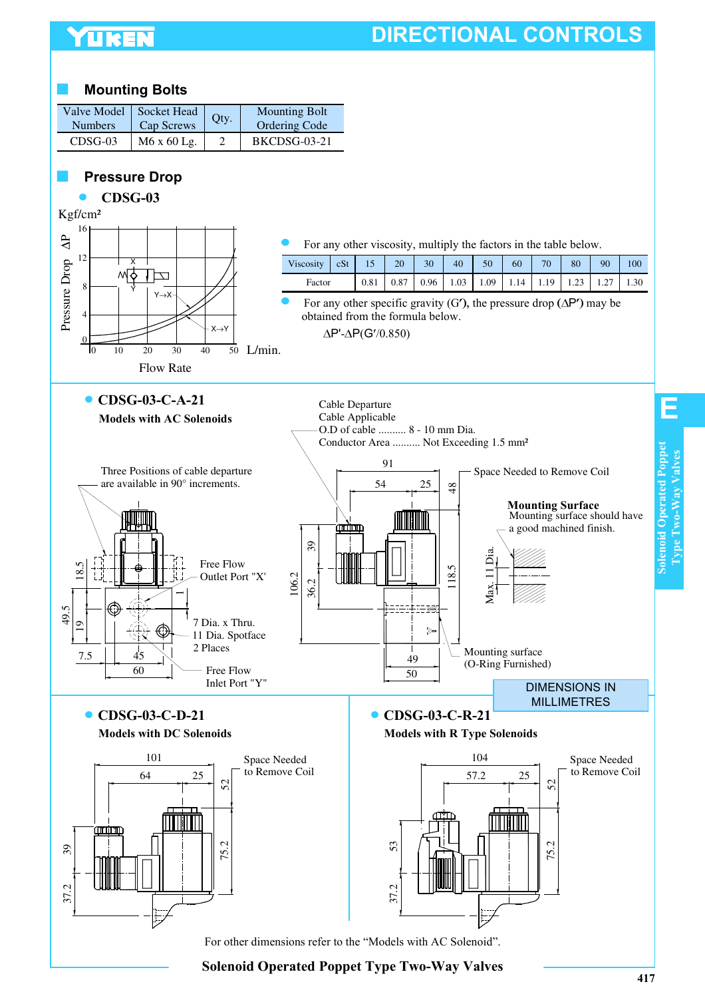## **LIKEN**

# **DIRECTIONAL CONTROLS**

#### **Mounting Bolts**

| <b>Numbers</b> | Valve Model Socket Head<br>Cap Screws | Oty. | <b>Mounting Bolt</b><br><b>Ordering Code</b> |
|----------------|---------------------------------------|------|----------------------------------------------|
| $CDSG-03$      | $M6x60$ Lg.                           |      | BKCDSG-03-21                                 |

#### **Pressure Drop**



**Solenoid Operated Poppet Type Two-Way Valves**

**Solenoid Operated Poppet Type Two-Way Valves**

**Solenoid Operated Poppet** Type Two-Way Valves

**E**